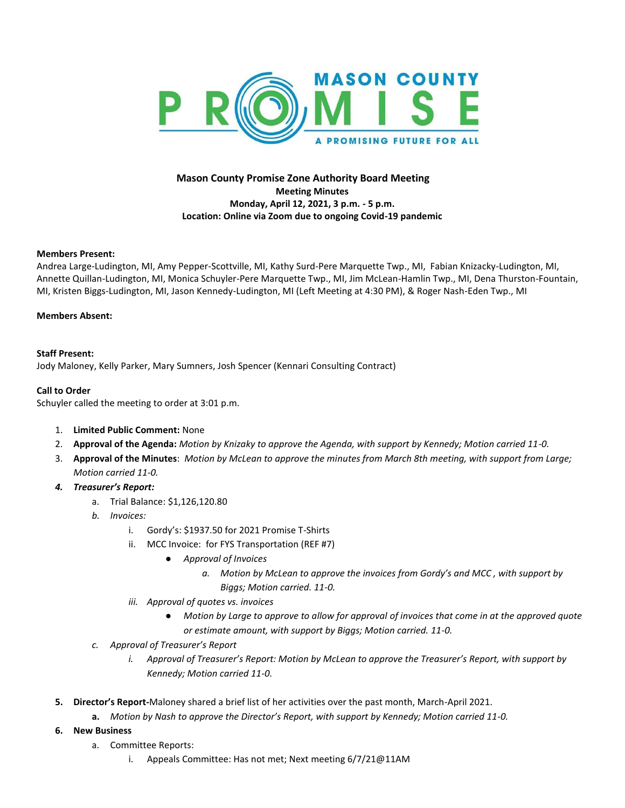

# **Mason County Promise Zone Authority Board Meeting Meeting Minutes Monday, April 12, 2021, 3 p.m. - 5 p.m. Location: Online via Zoom due to ongoing Covid-19 pandemic**

### **Members Present:**

Andrea Large-Ludington, MI, Amy Pepper-Scottville, MI, Kathy Surd-Pere Marquette Twp., MI, Fabian Knizacky-Ludington, MI, Annette Quillan-Ludington, MI, Monica Schuyler-Pere Marquette Twp., MI, Jim McLean-Hamlin Twp., MI, Dena Thurston-Fountain, MI, Kristen Biggs-Ludington, MI, Jason Kennedy-Ludington, MI (Left Meeting at 4:30 PM), & Roger Nash-Eden Twp., MI

### **Members Absent:**

### **Staff Present:**

Jody Maloney, Kelly Parker, Mary Sumners, Josh Spencer (Kennari Consulting Contract)

### **Call to Order**

Schuyler called the meeting to order at 3:01 p.m.

- 1. **Limited Public Comment:** None
- 2. **Approval of the Agenda:** *Motion by Knizaky to approve the Agenda, with support by Kennedy; Motion carried 11-0.*
- 3. **Approval of the Minutes**: *Motion by McLean to approve the minutes from March 8th meeting, with support from Large; Motion carried 11-0.*
- *4. Treasurer's Report:* 
	- a. Trial Balance: \$1,126,120.80
	- *b. Invoices:* 
		- i. Gordy's: \$1937.50 for 2021 Promise T-Shirts
		- ii. MCC Invoice: for FYS Transportation (REF #7)
			- *Approval of Invoices*
				- *a. Motion by McLean to approve the invoices from Gordy's and MCC , with support by* 
					- *Biggs; Motion carried. 11-0.*
		- *iii. Approval of quotes vs. invoices*
			- *Motion by Large to approve to allow for approval of invoices that come in at the approved quote or estimate amount, with support by Biggs; Motion carried. 11-0.*
	- *c. Approval of Treasurer's Report*
		- *i. Approval of Treasurer's Report: Motion by McLean to approve the Treasurer's Report, with support by Kennedy; Motion carried 11-0.*
- **5. Director's Report-**Maloney shared a brief list of her activities over the past month, March-April 2021.
	- **a.** *Motion by Nash to approve the Director's Report, with support by Kennedy; Motion carried 11-0.*
- **6. New Business**
	- a. Committee Reports:
		- i. Appeals Committee: Has not met; Next meeting 6/7/21@11AM